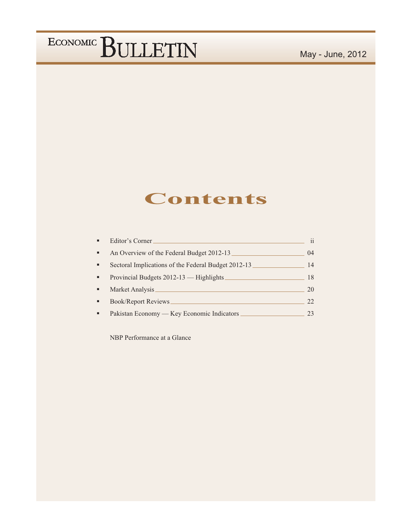### **Contents**

| Editor's Corner.                                    | $\mathbf{ii}$ |
|-----------------------------------------------------|---------------|
| An Overview of the Federal Budget 2012-13           | 04            |
| Sectoral Implications of the Federal Budget 2012-13 | 14            |
| Provincial Budgets 2012-13 - Highlights             | 18            |
| Market Analysis_                                    | 20            |
| <b>Book/Report Reviews</b>                          | 22            |
| Pakistan Economy — Key Economic Indicators          | 23            |

NBP Performance at a Glance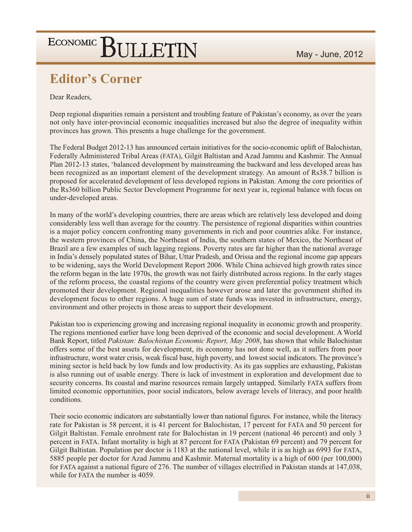### **Editor's Corner**

Dear Readers.

Deep regional disparities remain a persistent and troubling feature of Pakistan's economy, as over the years not only have inter-provincial economic inequalities increased but also the degree of inequality within provinces has grown. This presents a huge challenge for the government.

The Federal Budget 2012-13 has announced certain initiatives for the socio-economic uplift of Balochistan, Federally Administered Tribal Areas (FATA), Gilgit Baltistan and Azad Jammu and Kashmir. The Annual Plan 2012-13 states, 'balanced development by mainstreaming the backward and less developed areas has been recognized as an important element of the development strategy. An amount of Rs38.7 billion is proposed for accelerated development of less developed regions in Pakistan. Among the core priorities of the Rs360 billion Public Sector Development Programme for next year is, regional balance with focus on under-developed areas.

In many of the world's developing countries, there are areas which are relatively less developed and doing considerably less well than average for the country. The persistence of regional disparities within countries is a major policy concern confronting many governments in rich and poor countries alike. For instance, the western provinces of China, the Northeast of India, the southern states of Mexico, the Northeast of Brazil are a few examples of such lagging regions. Poverty rates are far higher than the national average in India's densely populated states of Bihar, Uttar Pradesh, and Orissa and the regional income gap appears to be widening, says the World Development Report 2006. While China achieved high growth rates since the reform began in the late 1970s, the growth was not fairly distributed across regions. In the early stages of the reform process, the coastal regions of the country were given preferential policy treatment which promoted their development. Regional inequalities however arose and later the government shifted its development focus to other regions. A huge sum of state funds was invested in infrastructure, energy, environment and other projects in those areas to support their development.

Pakistan too is experiencing growing and increasing regional inequality in economic growth and prosperity. The regions mentioned earlier have long been deprived of the economic and social development. A World Bank Report, titled Pakistan: Balochistan Economic Report, May 2008, has shown that while Balochistan offers some of the best assets for development, its economy has not done well, as it suffers from poor infrastructure, worst water crisis, weak fiscal base, high poverty, and lowest social indicators. The province's mining sector is held back by low funds and low productivity. As its gas supplies are exhausting, Pakistan is also running out of usable energy. There is lack of investment in exploration and development due to security concerns. Its coastal and marine resources remain largely untapped. Similarly FATA suffers from limited economic opportunities, poor social indicators, below average levels of literacy, and poor health conditions.

Their socio economic indicators are substantially lower than national figures. For instance, while the literacy rate for Pakistan is 58 percent, it is 41 percent for Balochistan, 17 percent for FATA and 50 percent for Gilgit Baltistan. Female enrolment rate for Balochistan in 19 percent (national 46 percent) and only 3 percent in FATA. Infant mortality is high at 87 percent for FATA (Pakistan 69 percent) and 79 percent for Gilgit Baltistan. Population per doctor is 1183 at the national level, while it is as high as 6993 for FATA, 5885 people per doctor for Azad Jammu and Kashmir. Maternal mortality is a high of 600 (per 100,000) for FATA against a national figure of 276. The number of villages electrified in Pakistan stands at 147,038, while for FATA the number is 4059.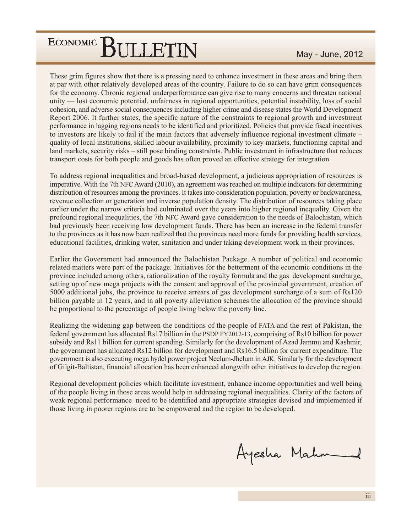These grim figures show that there is a pressing need to enhance investment in these areas and bring them at par with other relatively developed areas of the country. Failure to do so can have grim consequences for the economy. Chronic regional underperformance can give rise to many concerns and threaten national unity — lost economic potential, unfairness in regional opportunities, potential instability, loss of social cohesion, and adverse social consequences including higher crime and disease states the World Development Report 2006. It further states, the specific nature of the constraints to regional growth and investment performance in lagging regions needs to be identified and prioritized. Policies that provide fiscal incentives to investors are likely to fail if the main factors that adversely influence regional investment climate – quality of local institutions, skilled labour availability, proximity to key markets, functioning capital and land markets, security risks - still pose binding constraints. Public investment in infrastructure that reduces transport costs for both people and goods has often proved an effective strategy for integration.

To address regional inequalities and broad-based development, a judicious appropriation of resources is imperative. With the 7th NFC Award (2010), an agreement was reached on multiple indicators for determining distribution of resources among the provinces. It takes into consideration population, poverty or backwardness, revenue collection or generation and inverse population density. The distribution of resources taking place earlier under the narrow criteria had culminated over the years into higher regional inequality. Given the profound regional inequalities, the 7th NFC Award gave consideration to the needs of Balochistan, which had previously been receiving low development funds. There has been an increase in the federal transfer to the provinces as it has now been realized that the provinces need more funds for providing health services, educational facilities, drinking water, sanitation and under taking development work in their provinces.

Earlier the Government had announced the Balochistan Package. A number of political and economic related matters were part of the package. Initiatives for the betterment of the economic conditions in the province included among others, rationalization of the royalty formula and the gas development surcharge, setting up of new mega projects with the consent and approval of the provincial government, creation of 5000 additional jobs, the province to receive arrears of gas development surcharge of a sum of Rs120 billion payable in 12 years, and in all poverty alleviation schemes the allocation of the province should be proportional to the percentage of people living below the poverty line.

Realizing the widening gap between the conditions of the people of FATA and the rest of Pakistan, the federal government has allocated Rs17 billion in the PSDP FY2012-13, comprising of Rs10 billion for power subsidy and Rs11 billion for current spending. Similarly for the development of Azad Jammu and Kashmir, the government has allocated Rs12 billion for development and Rs16.5 billion for current expenditure. The government is also executing mega hydel power project Neelum-Jhelum in AJK. Similarly for the development of Gilgit-Baltistan, financial allocation has been enhanced alongwith other initiatives to develop the region.

Regional development policies which facilitate investment, enhance income opportunities and well being of the people living in those areas would help in addressing regional inequalities. Clarity of the factors of weak regional performance need to be identified and appropriate strategies devised and implemented if those living in poorer regions are to be empowered and the region to be developed.

Ayesha Mahn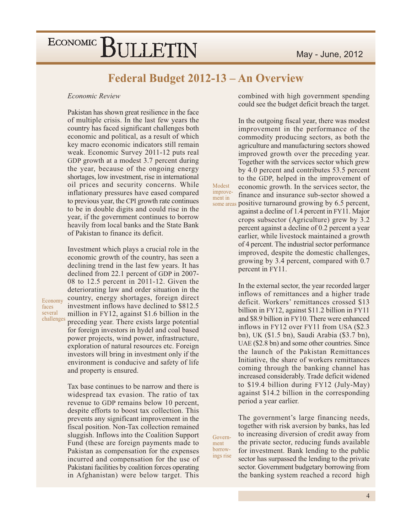### Federal Budget 2012-13 - An Overview

Modest

improve-

ment in

Govern-

ings rise

ment borrow-

#### Economic Review

Pakistan has shown great resilience in the face of multiple crisis. In the last few years the country has faced significant challenges both economic and political, as a result of which key macro economic indicators still remain weak. Economic Survey 2011-12 puts real GDP growth at a modest 3.7 percent during the year, because of the ongoing energy shortages, low investment, rise in international oil prices and security concerns. While inflationary pressures have eased compared to previous year, the CPI growth rate continues to be in double digits and could rise in the year, if the government continues to borrow heavily from local banks and the State Bank of Pakistan to finance its deficit.

Investment which plays a crucial role in the economic growth of the country, has seen a declining trend in the last few years. It has declined from 22.1 percent of GDP in 2007-08 to 12.5 percent in 2011-12. Given the deteriorating law and order situation in the country, energy shortages, foreign direct investment inflows have declined to \$812.5 million in FY12, against \$1.6 billion in the preceding year. There exists large potential for foreign investors in hydel and coal based power projects, wind power, infrastructure, exploration of natural resources etc. Foreign investors will bring in investment only if the environment is conducive and safety of life and property is ensured.

Tax base continues to be narrow and there is widespread tax evasion. The ratio of tax revenue to GDP remains below 10 percent, despite efforts to boost tax collection. This prevents any significant improvement in the fiscal position. Non-Tax collection remained sluggish. Inflows into the Coalition Support Fund (these are foreign payments made to Pakistan as compensation for the expenses incurred and compensation for the use of Pakistani facilities by coalition forces operating in Afghanistan) were below target. This

combined with high government spending could see the budget deficit breach the target.

In the outgoing fiscal year, there was modest improvement in the performance of the commodity producing sectors, as both the agriculture and manufacturing sectors showed improved growth over the preceding year. Together with the services sector which grew by 4.0 percent and contributes 53.5 percent to the GDP, helped in the improvement of economic growth. In the services sector, the finance and insurance sub-sector showed a some areas positive turnaround growing by 6.5 percent, against a decline of 1.4 percent in FY11. Major crops subsector (Agriculture) grew by 3.2 percent against a decline of 0.2 percent a year

earlier, while livestock maintained a growth of 4 percent. The industrial sector performance improved, despite the domestic challenges, growing by 3.4 percent, compared with 0.7 percent in FY11.

In the external sector, the year recorded larger inflows of remittances and a higher trade deficit. Workers' remittances crossed \$13 billion in FY12, against \$11.2 billion in FY11 and \$8.9 billion in FY10. There were enhanced inflows in FY12 over FY11 from USA (\$2.3) bn), UK (\$1.5 bn), Saudi Arabia (\$3.7 bn), UAE (\$2.8 bn) and some other countries. Since the launch of the Pakistan Remittances Initiative, the share of workers remittances coming through the banking channel has increased considerably. Trade deficit widened to \$19.4 billion during FY12 (July-May) against \$14.2 billion in the corresponding period a year earlier.

The government's large financing needs, together with risk aversion by banks, has led to increasing diversion of credit away from the private sector, reducing funds available for investment. Bank lending to the public sector has surpassed the lending to the private sector. Government budgetary borrowing from the banking system reached a record high

Economy faces several challenges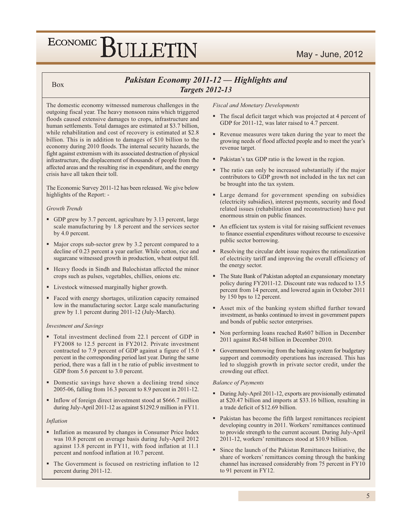### Pakistan Economy 2011-12 - Highlights and **Targets 2012-13**

The domestic economy witnessed numerous challenges in the outgoing fiscal year. The heavy monsoon rains which triggered floods caused extensive damages to crops, infrastructure and human settlements. Total damages are estimated at \$3.7 billion, while rehabilitation and cost of recovery is estimated at \$2.8 billion. This is in addition to damages of \$10 billion to the economy during 2010 floods. The internal security hazards, the fight against extremism with its associated destruction of physical infrastructure, the displacement of thousands of people from the affected areas and the resulting rise in expenditure, and the energy crisis have all taken their toll.

The Economic Survey 2011-12 has been released. We give below highlights of the Report: -

#### Growth Trends

**Box** 

- GDP grew by 3.7 percent, agriculture by 3.13 percent, large scale manufacturing by 1.8 percent and the services sector by 4.0 percent.
- Major crops sub-sector grew by 3.2 percent compared to a decline of 0.23 percent a year earlier. While cotton, rice and sugarcane witnessed growth in production, wheat output fell.
- Heavy floods in Sindh and Balochistan affected the minor crops such as pulses, vegetables, chillies, onions etc.
- Livestock witnessed marginally higher growth.
- · Faced with energy shortages, utilization capacity remained low in the manufacturing sector. Large scale manufacturing grew by 1.1 percent during 2011-12 (July-March).

#### **Investment and Savings**

- Total investment declined from 22.1 percent of GDP in FY2008 to 12.5 percent in FY2012. Private investment contracted to 7.9 percent of GDP against a figure of 15.0 percent in the corresponding period last year. During the same period, there was a fall in t he ratio of public investment to GDP from 5.6 percent to 3.0 percent.
- Domestic savings have shown a declining trend since 2005-06, falling from 16.3 percent to 8.9 percent in 2011-12.
- Inflow of foreign direct investment stood at \$666.7 million during July-April 2011-12 as against \$1292.9 million in FY11.

#### Inflation

- Inflation as measured by changes in Consumer Price Index was 10.8 percent on average basis during July-April 2012 against 13.8 percent in FY11, with food inflation at 11.1 percent and nonfood inflation at 10.7 percent.
- The Government is focused on restricting inflation to 12 percent during 2011-12.

**Fiscal and Monetary Developments** 

- The fiscal deficit target which was projected at 4 percent of GDP for 2011-12, was later raised to 4.7 percent.
- Revenue measures were taken during the year to meet the growing needs of flood affected people and to meet the year's revenue target.
- Pakistan's tax GDP ratio is the lowest in the region.
- The ratio can only be increased substantially if the major contributors to GDP growth not included in the tax net can be brought into the tax system.
- Large demand for government spending on subsidies (electricity subsidies), interest payments, security and flood related issues (rehabilitation and reconstruction) have put enormous strain on public finances.
- An efficient tax system is vital for raising sufficient revenues to finance essential expenditures without recourse to excessive public sector borrowing.
- Resolving the circular debt issue requires the rationalization of electricity tariff and improving the overall efficiency of the energy sector.
- The State Bank of Pakistan adopted an expansionary monetary policy during FY2011-12. Discount rate was reduced to 13.5 percent from 14 percent, and lowered again in October 2011 by 150 bps to 12 percent.
- Asset mix of the banking system shifted further toward investment, as banks continued to invest in government papers and bonds of public sector enterprises.
- Non performing loans reached Rs607 billion in December 2011 against Rs548 billion in December 2010.
- Government borrowing from the banking system for budgetary support and commodity operations has increased. This has led to sluggish growth in private sector credit, under the crowding out effect.

#### **Balance of Payments**

- During July-April 2011-12, exports are provisionally estimated at \$20.47 billion and imports at \$33.16 billion, resulting in a trade deficit of \$12.69 billion.
- Pakistan has become the fifth largest remittances recipient developing country in 2011. Workers' remittances continued to provide strength to the current account. During July-April 2011-12, workers' remittances stood at \$10.9 billion.
- Since the launch of the Pakistan Remittances Initiative, the share of workers' remittances coming through the banking channel has increased considerably from 75 percent in FY10 to 91 percent in FY12.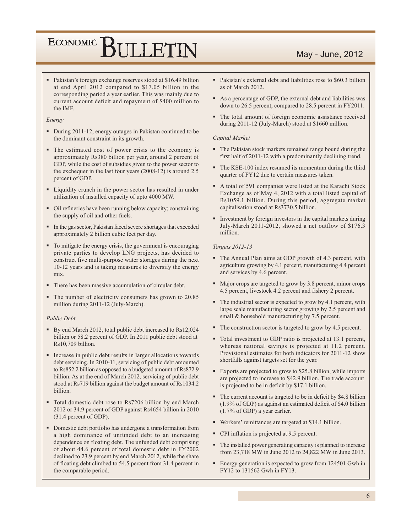• Pakistan's foreign exchange reserves stood at \$16.49 billion at end April 2012 compared to \$17.05 billion in the corresponding period a year earlier. This was mainly due to current account deficit and repayment of \$400 million to the IMF.

#### Energy

- During 2011-12, energy outages in Pakistan continued to be the dominant constraint in its growth.
- The estimated cost of power crisis to the economy is approximately Rs380 billion per year, around 2 percent of GDP, while the cost of subsidies given to the power sector to the exchequer in the last four years  $(2008-12)$  is around 2.5 percent of GDP.
- Liquidity crunch in the power sector has resulted in under utilization of installed capacity of upto 4000 MW.
- Oil refineries have been running below capacity; constraining the supply of oil and other fuels.
- In the gas sector, Pakistan faced severe shortages that exceeded approximately 2 billion cubic feet per day.
- To mitigate the energy crisis, the government is encouraging private parties to develop LNG projects, has decided to construct five multi-purpose water storages during the next 10-12 years and is taking measures to diversify the energy mix.
- There has been massive accumulation of circular debt.
- The number of electricity consumers has grown to 20.85 million during 2011-12 (July-March).

#### Public Debt

- By end March 2012, total public debt increased to Rs12,024 billion or 58.2 percent of GDP. In 2011 public debt stood at Rs10,709 billion.
- Increase in public debt results in larger allocations towards debt servicing. In 2010-11, servicing of public debt amounted to Rs852.2 billion as opposed to a budgeted amount of Rs872.9 billion. As at the end of March 2012, servicing of public debt stood at Rs719 billion against the budget amount of Rs1034.2 billion.
- Total domestic debt rose to Rs7206 billion by end March 2012 or 34.9 percent of GDP against Rs4654 billion in 2010 (31.4 percent of GDP).
- Domestic debt portfolio has undergone a transformation from a high dominance of unfunded debt to an increasing dependence on floating debt. The unfunded debt comprising of about 44.6 percent of total domestic debt in FY2002 declined to 23.9 percent by end March 2012, while the share of floating debt climbed to 54.5 percent from 31.4 percent in the comparable period.
- Pakistan's external debt and liabilities rose to \$60.3 billion as of March 2012.
- As a percentage of GDP, the external debt and liabilities was down to 26.5 percent, compared to 28.5 percent in FY2011.
- The total amount of foreign economic assistance received during 2011-12 (July-March) stood at \$1660 million.

#### Capital Market

- The Pakistan stock markets remained range bound during the first half of 2011-12 with a predominantly declining trend.
- The KSE-100 index resumed its momentum during the third quarter of FY12 due to certain measures taken.
- A total of 591 companies were listed at the Karachi Stock Exchange as of May 4, 2012 with a total listed capital of Rs1059.1 billion. During this period, aggregate market capitalisation stood at Rs3730.5 billion.
- Investment by foreign investors in the capital markets during July-March 2011-2012, showed a net outflow of \$176.3 million.

#### Targets 2012-13

- The Annual Plan aims at GDP growth of 4.3 percent, with agriculture growing by 4.1 percent, manufacturing 4.4 percent and services by 4.6 percent.
- Major crops are targeted to grow by 3.8 percent, minor crops 4.5 percent, livestock 4.2 percent and fishery 2 percent.
- The industrial sector is expected to grow by 4.1 percent, with large scale manufacturing sector growing by 2.5 percent and small & household manufacturing by 7.5 percent.
- The construction sector is targeted to grow by 4.5 percent.
- Total investment to GDP ratio is projected at 13.1 percent, whereas national savings is projected at 11.2 percent. Provisional estimates for both indicators for 2011-12 show shortfalls against targets set for the year.
- Exports are projected to grow to \$25.8 billion, while imports are projected to increase to \$42.9 billion. The trade account is projected to be in deficit by \$17.1 billion.
- The current account is targeted to be in deficit by \$4.8 billion  $(1.9\% \text{ of GDP})$  as against an estimated deficit of \$4.0 billion  $(1.7\% \text{ of GDP})$  a year earlier.
- Workers' remittances are targeted at \$14.1 billion.
- CPI inflation is projected at 9.5 percent.
- The installed power generating capacity is planned to increase from 23,718 MW in June 2012 to 24,822 MW in June 2013.
- Energy generation is expected to grow from 124501 Gwh in FY12 to 131562 Gwh in FY13.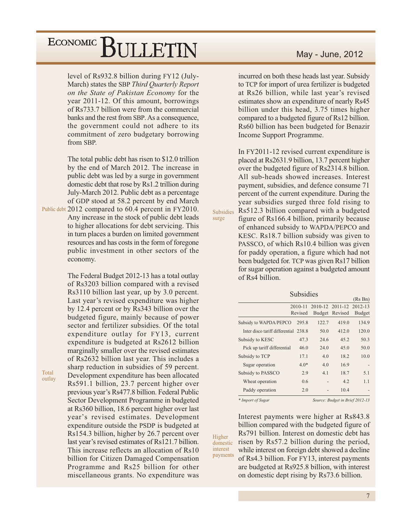level of Rs932.8 billion during FY12 (July-March) states the SBP Third Quarterly Report on the State of Pakistan Economy for the year 2011-12. Of this amount, borrowings of Rs733.7 billion were from the commercial banks and the rest from SBP. As a consequence, the government could not adhere to its commitment of zero budgetary borrowing from SBP.

The total public debt has risen to \$12.0 trillion by the end of March 2012. The increase in public debt was led by a surge in government domestic debt that rose by Rs1.2 trillion during July-March 2012. Public debt as a percentage of GDP stood at 58.2 percent by end March

Public debt 2012 compared to 60.4 percent in FY2010. Any increase in the stock of public debt leads to higher allocations for debt servicing. This in turn places a burden on limited government resources and has costs in the form of foregone public investment in other sectors of the economy.

> The Federal Budget 2012-13 has a total outlay of Rs3203 billion compared with a revised Rs3110 billion last year, up by 3.0 percent. Last year's revised expenditure was higher by 12.4 percent or by Rs343 billion over the budgeted figure, mainly because of power sector and fertilizer subsidies. Of the total expenditure outlay for FY13, current expenditure is budgeted at Rs2612 billion marginally smaller over the revised estimates of Rs2632 billion last year. This includes a sharp reduction in subsidies of 59 percent. Development expenditure has been allocated Rs591.1 billion, 23.7 percent higher over previous year's Rs477.8 billion. Federal Public Sector Development Programme in budgeted at Rs360 billion, 18.6 percent higher over last year's revised estimates. Development expenditure outside the PSDP is budgeted at Rs154.3 billion, higher by 26.7 percent over last year's revised estimates of Rs121.7 billion. This increase reflects an allocation of Rs10 billion for Citizen Damaged Compensation Programme and Rs25 billion for other miscellaneous grants. No expenditure was

May - June, 2012

incurred on both these heads last year. Subsidy to TCP for import of urea fertilizer is budgeted at Rs26 billion, while last year's revised estimates show an expenditure of nearly Rs45 billion under this head, 3.75 times higher compared to a budgeted figure of Rs12 billion. Rs60 billion has been budgeted for Benazir Income Support Programme.

In FY2011-12 revised current expenditure is placed at Rs2631.9 billion, 13.7 percent higher over the budgeted figure of Rs2314.8 billion. All sub-heads showed increases. Interest payment, subsidies, and defence consume 71 percent of the current expenditure. During the year subsidies surged three fold rising to Rs512.3 billion compared with a budgeted

figure of Rs166.4 billion, primarily because of enhanced subsidy to WAPDA/PEPCO and KESC. Rs18.7 billion subsidy was given to PASSCO, of which Rs10.4 billion was given for paddy operation, a figure which had not been budgeted for. TCP was given Rs17 billion for sugar operation against a budgeted amount of Rs4 billion.

**Subsidies** 

|                                       |         |       |                         | (Rs Bn)       |
|---------------------------------------|---------|-------|-------------------------|---------------|
|                                       | 2010-11 |       | 2010-12 2011-12 2012-13 |               |
|                                       | Revised |       | Budget Revised          | <b>Budget</b> |
| Subsidy to WAPDA/PEPCO                | 295.8   | 122.7 | 419.0                   | 134.9         |
| Inter disco tariff differential 238.8 |         | 50.0  | 412.0                   | 120.0         |
| Subsidy to KESC                       | 47.3    | 24.6  | 45.2                    | 50.3          |
| Pick up tariff differential           | 46.0    | 24.0  | 45.0                    | 50.0          |
| Subsidy to TCP                        | 17.1    | 4.0   | 18.2                    | 10.0          |
| Sugar operation                       | $4.0*$  | 4.0   | 16.9                    |               |
| Subsidy to PASSCO                     | 2.9     | 4.1   | 18.7                    | 5.1           |
| Wheat operation                       | 0.6     |       | 4.2                     | 1.1           |
| Paddy operation                       | 2.0     |       | 10.4                    |               |
|                                       |         |       |                         |               |

\* Import of Sugar

Higher

interest

Subsidies

surge

Source: Budget in Brief 2012-13

Interest payments were higher at Rs843.8 billion compared with the budgeted figure of Rs791 billion. Interest on domestic debt has risen by Rs57.2 billion during the period, domestic while interest on foreign debt showed a decline payments of Rs4.3 billion. For FY13, interest payments are budgeted at Rs925.8 billion, with interest on domestic dept rising by Rs73.6 billion.

Total outlay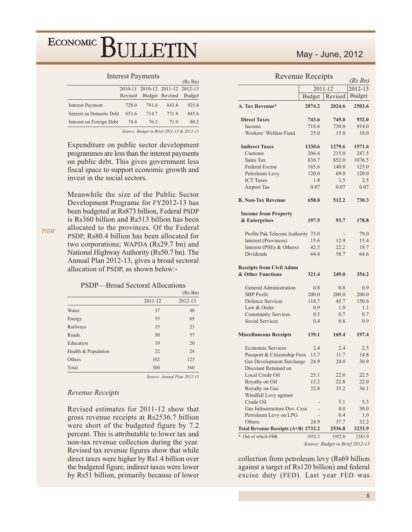#### **Interest Payments**

|                           |         |                                   |                       | (KS <sub>Bn</sub> ) |
|---------------------------|---------|-----------------------------------|-----------------------|---------------------|
|                           |         | 2010-11 2010-12 2011-12 2012-13   |                       |                     |
|                           | Revised |                                   | Budget Revised Budget |                     |
| <b>Interest Payment</b>   | 728.0   | 791.0                             | 843.8                 | 925.8               |
| Interest on Domestic Debt | 653.6   | 714.7                             | 771.9                 | 845.6               |
| Interest on Foreign Debt  | 74.4    | 76.3                              | 71.9                  | 80.2                |
|                           |         | <b>P. J. P. LAGILIA O ACIA IA</b> |                       |                     |

Source: Budget in Brief 2011-12 & 2012-13

Expenditure on public sector development programmes are less than the interest payments on public debt. This gives government less fiscal space to support economic growth and invest in the social sectors.

Meanwhile the size of the Public Sector Development Programe for FY2012-13 has been budgeted at Rs873 billion, Federal PSDP is Rs360 billion and Rs513 billion has been allocated to the provinces. Of the Federal PSDP, Rs80.4 billion has been allocated for two corporations; WAPDA (Rs29.7 bn) and National Highway Authority (Rs50.7 bn). The Annual Plan 2012-13, gives a broad sectoral allocation of PSDP, as shown below:-

**PSDP** 

#### PSDP-Broad Sectoral Allocations

|                     |         | (Rs Bn) |
|---------------------|---------|---------|
|                     | 2011-12 | 2012-13 |
| Water               | 37      | 48      |
| Energy              | 55      | 65      |
| Railways            | 15      | 23      |
| Roads               | 50      | 57      |
| Education           | 19      | 20      |
| Health & Population | 22      | 24      |
| Others              | 102     | 123     |
| Total               | 300     | 360     |
|                     |         |         |

Source: Annual Plan 2012-13

#### Revenue Receipts

Revised estimates for 2011-12 show that gross revenue receipts at Rs2536.7 billion were short of the budgeted figure by 7.2 percent. This is attributable to lower tax and non-tax revenue collection during the year. Revised tax revenue figures show that while direct taxes were higher by Rs1.4 billion over the budgeted figure, indirect taxes were lower by Rs51 billion, primarily because of lower

### May - June, 2012

### Revenue Receipts

| <b>Revenue</b> Receipis             |               |         | (Rs Bn)       |
|-------------------------------------|---------------|---------|---------------|
|                                     | 2011-12       | 2012-13 |               |
|                                     | <b>Budget</b> | Revised | <b>Budget</b> |
| A. Tax Revenue*                     | 2074.2        | 2024.6  | 2503.6        |
| <b>Direct Taxes</b>                 | 743.6         | 745.0   | 932.0         |
| Income                              | 718.6         | 730.0   | 914.0         |
| Workers' Welfare Fund               | 25.0          | 15.0    | 18.0          |
| <b>Indirect Taxes</b>               | 1330.6        | 1279.6  | 1571.6        |
| Customs                             | 206.4         | 215.0   | 247.5         |
| Sales Tax                           | 836.7         | 852.0   | 1076.5        |
| Federal Excise                      | 165.6         | 140.0   | 125.0         |
| Petroleum Levy                      | 120.0         | 69.0    | 120.0         |
| <b>ICT</b> Taxes                    | 1.8           | 3.5     | 2.5           |
| <b>Airport Tax</b>                  | 0.07          | 0.07    | 0.07          |
| <b>B. Non-Tax Revenue</b>           | 658.0         | 512.2   | 730.3         |
| <b>Income from Property</b>         |               |         |               |
| & Enterprises                       | 197.5         | 93.7    | 178.8         |
| Profits Pak Telecom Authority 75.0  |               |         | 79.0          |
| Interest (Provinces)                | 15.6          | 12.9    | 15.4          |
| Interest (PSEs & Others)            | 42.5          | 22.2    | 19.7          |
| Dividends                           | 64.4          | 58.7    | 64.6          |
| <b>Receipts from Civil Admn</b>     |               |         |               |
| & Other Functions                   | 321.4         | 249.0   | 354.2         |
| General Administration              | 0.8           | 0.8     | 0.9           |
| <b>SBP</b> Profit                   | 200.0         | 200.0   | 200.0         |
| <b>Defence Services</b>             | 118.7         | 45.7    | 150.6         |
| Law & Order                         | 0.9           | $1.0\,$ | 1.1           |
| <b>Community Services</b>           | 0.5           | 0.7     | 0.7           |
| <b>Social Services</b>              | 0.4           | 0.8     | 0.9           |
| <b>Miscellaneous Receipts</b>       | 139.1         | 169.4   | 197.4         |
| <b>Economic Services</b>            | 2.4           | 2.4     | 2.5           |
| Passport & Citizenship Fees         | 13.7          | 11.7    | 14.8          |
| <b>Gas Development Surcharge</b>    | 24.9          | 24.0    | 30.9          |
| Discount Retained on                |               |         |               |
| Local Crude Oil                     | 25.1          | 22.0    | 22.5          |
| Royalty on Oil                      | 15.2          | 22.8    | 22.0          |
| Royalty on Gas                      | 32.8          | 35.2    | 36.1          |
| Windfall Levy against               |               |         |               |
| Crude Oil                           |               | 5.1     | 5.3           |
| Gas Infrastructure Dev. Cess        |               | 8.0     | 30.0          |
| Petroleum Levy on LPG               |               | 0.4     | 1.0           |
| Others                              | 24.9          | 37.7    | 32.2          |
| Total Revenue Receipts (A+B) 2732.2 |               | 2536.8  | 3233.9        |
| Out of which FBR                    | 1952.3        | 1952.0  | 2381.0        |

Source: Budget in Brief 2012-13

collection from petroleum levy (Rs69 billion against a target of Rs120 billion) and federal excise duty (FED). Last year FED was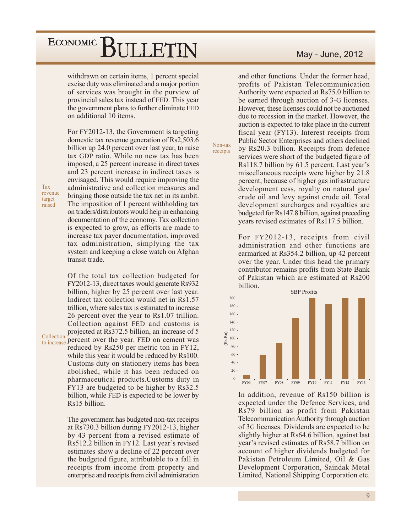### ECONOMIC<sup>]</sup> BULLETIN

withdrawn on certain items, 1 percent special excise duty was eliminated and a major portion of services was brought in the purview of provincial sales tax instead of FED. This year the government plans to further eliminate FED on additional 10 items.

For FY2012-13, the Government is targeting domestic tax revenue generation of Rs2,503.6 billion up 24.0 percent over last year, to raise tax GDP ratio. While no new tax has been imposed, a 25 percent increase in direct taxes and 23 percent increase in indirect taxes is envisaged. This would require improving the administrative and collection measures and bringing those outside the tax net in its ambit. The imposition of 1 percent withholding tax on traders/distributors would help in enhancing documentation of the economy. Tax collection is expected to grow, as efforts are made to increase tax payer documentation, improved tax administration, simplying the tax system and keeping a close watch on Afghan transit trade.

Tax revenue target raised

Of the total tax collection budgeted for FY2012-13, direct taxes would generate Rs932 billion, higher by 25 percent over last year. Indirect tax collection would net in Rs1.57 trillion, where sales tax is estimated to increase 26 percent over the year to Rs1.07 trillion. Collection against FED and customs is projected at Rs372.5 billion, an increase of 5 to increase percent over the year. FED on cement was Collection reduced by Rs250 per metric ton in FY12, while this year it would be reduced by Rs100. Customs duty on stationery items has been abolished, while it has been reduced on pharmaceutical products.Customs duty in FY13 are budgeted to be higher by Rs32.5 billion, while FED is expected to be lower by Rs15 billion.

> The government has budgeted non-tax receipts at Rs730.3 billion during FY2012-13, higher by 43 percent from a revised estimate of Rs512.2 billion in FY12. Last year's revised estimates show a decline of 22 percent over the budgeted figure, attributable to a fall in receipts from income from property and enterprise and receipts from civil administration

### May - June, 2012

and other functions. Under the former head. profits of Pakistan Telecommunication Authority were expected at Rs75.0 billion to be earned through auction of 3-G licenses. However, these licenses could not be auctioned due to recession in the market. However, the auction is expected to take place in the current fiscal year (FY13). Interest receipts from Public Sector Enterprises and others declined by Rs20.3 billion. Receipts from defence services were short of the budgeted figure of Rs118.7 billion by 61.5 percent. Last year's miscellaneous receipts were higher by 21.8 percent, because of higher gas infrastructure development cess, royalty on natural gas/ crude oil and levy against crude oil. Total development surcharges and royalties are budgeted for Rs147.8 billion, against preceding years revised estimates of Rs117.5 billion.

Non-tax

receipts

For FY2012-13, receipts from civil administration and other functions are earmarked at Rs354.2 billion, up 42 percent over the year. Under this head the primary contributor remains profits from State Bank of Pakistan which are estimated at Rs200 billion.



In addition, revenue of Rs150 billion is expected under the Defence Services, and Rs79 billion as profit from Pakistan Telecommunication Authority through auction of 3G licenses. Dividends are expected to be slightly higher at Rs64.6 billion, against last year's revised estimates of Rs58.7 billion on account of higher dividends budgeted for Pakistan Petroleum Limited, Oil & Gas Development Corporation, Saindak Metal Limited, National Shipping Corporation etc.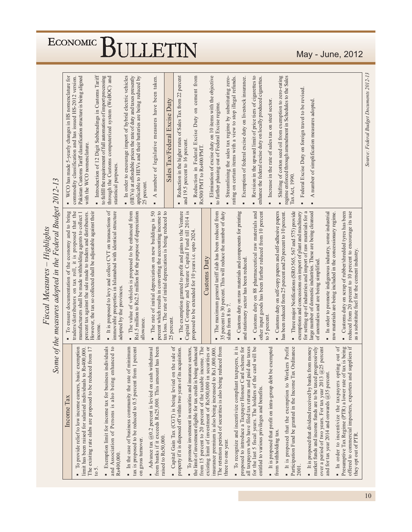| income.<br>l,<br>ä,<br>í.<br>$\blacksquare$<br>$\blacksquare$<br>$\blacksquare$<br>٠<br>Capital Gain Tax (CGT) is being levied on the sale of<br>rom 15 percent to 20 percent of the taxable income. The<br>xisting limit of investment of Rs500,000 in securities or<br>To recognize and incentivize compliant taxpayers, it is<br>proposed to introduce a Taxpayer Honour Card scheme for<br>due taxes<br>Exemption limit for income tax for business individuals<br>md Association of Persons is also being enhanced to<br>1 percent<br>ers Profit<br>narket funds and income funds are to be taxed progressively<br>exemption<br>rom banks if it exceeds Rs25,000. This amount has been<br>he limit of investment eligible for tax credit is being enhanced<br>The retention period of securities is also being reduced from<br>or the last 5 fiscal years. The holders of the card will be<br>exempted<br>over a period of two years. For tax year 2013 @25 percent<br>imit has been raised for salaried individuals to Rs400,000.<br>The existing rate slabs are proposed to be reduced from 17<br>minimum<br>To promote investment in securities and insurance sectors,<br>Ordinance<br>It is proposed that dividend received by banks from money<br>roperty if it is disposed off within two years of its acquisition.<br>nsurance premium is also being increased to Rs1,000,000.<br>Advance tax $(200.2)$ percent is levied on cash withdrawal<br>In the case of business community the rate of<br>ax is proposed to be reduced to 0.5 percent from<br>ill taxpayers who have filed tax returns and paid<br>It is proposed that profit on intra-group debt be<br>It is proposed that the exemption to Work<br>To provide relief to low income earners, basic<br>articipation Fund be granted in the Income Tax<br>intitled to various privileges and benefits.<br>Income Tax<br>om withholding tax.<br>aised to Rs50,000.<br>on gross turnover.<br>hree to one year.<br>.s400,000.<br>$2001$ . | Some of the measures adopted in the Federal Budget 2012-13<br>traders/distributors on tax roll, it is proposed that the<br>It is proposed to levy and collect CVT on transactions of<br>immovable properties in Islamabad with identical structure<br>The exemption granted to profit and gains to the Venture<br>percent which results in converting the accounting income to<br>Capital Company and Venture Capital Fund till 2014 is<br>other input goods has been further reduced from 10 percent<br>To ensure documentation of the economy and to bring<br>However, the tax so collected shall be adjustable against their<br>The value of vehicles is proposed to be enhanced from<br>Rs1.5 million to Rs2.5 million for the purpose of depreciation<br>tax loss. The rate of initial depreciation is being reduced to<br>The maximum general tariff slab has been reduced from<br>Customs duty on 88 pharmaceutical raw materials and<br>Customs duty on self-copy papers and self-adhesive papers<br>Three major Notifications (SRO 565, 567 and 575) provide<br>for setting up of industries and import of raw materials for a<br>50<br>Customs duty on raw materials and components for printing<br>large number of domestic industries. These are being cleansed<br>manufacturers shall be made withholding agents to collect 1<br>percent tax against the sale made to traders and distributors.<br>35 percent to 30 percent. This will reduce the number of duty<br>has been reduced from 25 percent and 20 percent to 10 percent.<br>exemptions and concessions on import of plant and machinery<br>The rate of initial depreciation on new buildings is<br>proposed to be extended for 10 years i.e. upto 2024.<br><b>Customs Duty</b><br>and stationery sector has been reduced.<br>of anomalies and are being simplified.<br>adopted by the provinces.<br>slabs from 8 to 7.<br>to 5 percent.<br>25 percent.<br>allowance. | WCO has made 5-yearly changes in HS nomenclature for<br>Shifting of cotton seed oil from exemption to zero-rating<br>regime enforced through amendment in Schedules to the Sales<br>Pakistan Customs Tariff classification structure is being aligned<br>" Introduction of 12 Digit Subheadings in Customs Tariff<br>to fulfill the requirement of full automation of import processing<br>through the Customs computerized system (WeBOC) and<br>In order to encourage import of hybrid electric vehicles<br>Reduction in the higher rates of Sales Tax from 22 percent<br>Reduction in Federal Excise Duty on cement from<br>Elimination of excise duty on 10 items with the objective<br>Revision in the upward limit of price tiers of cigarettes to<br>commodity classification and has issued HS-2012 version.<br>(HEVs) at affordable prices the rate of duty and taxes presently<br>applicable to HEVs and their batteries are being reduced by<br>number of legislative measures have been taken.<br>Streamlining the sales tax regime by substituting zero-<br>rating on certain items with a view to stop illegal refunds.<br>Exemption of federal excise duty on livestock insurance.<br>enhance the federal excise duty on locally produced cigarettes.<br>Federal Excise Duty on foreign travel to be revised.<br>Increase in the rate of sales tax on steel sector.<br>A number of simplification measures adopted<br>Sales Tax/Federal Excise Duty<br>to further phasing out of Federal Excise regime.<br>and 19.5 percent to 16 percent<br>with the WCO nomenclature.<br>Rs500/PMT to Rs400/PMT<br>statistical purposes.<br>Tax Act, 1990.<br>25 percent.<br>$\blacktriangle$<br>$\blacksquare$<br>$\blacksquare$<br>٠ |  |
|----------------------------------------------------------------------------------------------------------------------------------------------------------------------------------------------------------------------------------------------------------------------------------------------------------------------------------------------------------------------------------------------------------------------------------------------------------------------------------------------------------------------------------------------------------------------------------------------------------------------------------------------------------------------------------------------------------------------------------------------------------------------------------------------------------------------------------------------------------------------------------------------------------------------------------------------------------------------------------------------------------------------------------------------------------------------------------------------------------------------------------------------------------------------------------------------------------------------------------------------------------------------------------------------------------------------------------------------------------------------------------------------------------------------------------------------------------------------------------------------------------------------------------------------------------------------------------------------------------------------------------------------------------------------------------------------------------------------------------------------------------------------------------------------------------------------------------------------------------------------------------------------------------------------------------------------------------------------------------------------------------|---------------------------------------------------------------------------------------------------------------------------------------------------------------------------------------------------------------------------------------------------------------------------------------------------------------------------------------------------------------------------------------------------------------------------------------------------------------------------------------------------------------------------------------------------------------------------------------------------------------------------------------------------------------------------------------------------------------------------------------------------------------------------------------------------------------------------------------------------------------------------------------------------------------------------------------------------------------------------------------------------------------------------------------------------------------------------------------------------------------------------------------------------------------------------------------------------------------------------------------------------------------------------------------------------------------------------------------------------------------------------------------------------------------------------------------------------------------------------------------------------------------------------------------------------------------------------------------------------------------------------------------------------------------------------------------------------------------------------------------------------------------------------------------------------------------------------------------------------------------------------------------------------------------------------------------------|-----------------------------------------------------------------------------------------------------------------------------------------------------------------------------------------------------------------------------------------------------------------------------------------------------------------------------------------------------------------------------------------------------------------------------------------------------------------------------------------------------------------------------------------------------------------------------------------------------------------------------------------------------------------------------------------------------------------------------------------------------------------------------------------------------------------------------------------------------------------------------------------------------------------------------------------------------------------------------------------------------------------------------------------------------------------------------------------------------------------------------------------------------------------------------------------------------------------------------------------------------------------------------------------------------------------------------------------------------------------------------------------------------------------------------------------------------------------------------------------------------------------------------------------------------------------------------------------------------------------------------------------------------------------------------------------------------------------------------------------|--|
| $\blacksquare$<br>٠<br>In order to incentivize the taxpayers opting out of<br>Presumptive Tax Regime (PTR) a lower rate of tax is being<br>offered to commercial importers, exporters and suppliers if<br>nd for tax year 2014 and onwards $@35$ percent.<br>hey opt out of PTR.                                                                                                                                                                                                                                                                                                                                                                                                                                                                                                                                                                                                                                                                                                                                                                                                                                                                                                                                                                                                                                                                                                                                                                                                                                                                                                                                                                                                                                                                                                                                                                                                                                                                                                                         | reduced from 20 percent to 10 percent to encourage its use<br>Customs duty on scrap of rubber/shredded tyres has been<br>In order to promote indigenous industry, some industrial<br>raw materials are being included in the concessionary regime<br>as a substitute fuel for the cement industry.                                                                                                                                                                                                                                                                                                                                                                                                                                                                                                                                                                                                                                                                                                                                                                                                                                                                                                                                                                                                                                                                                                                                                                                                                                                                                                                                                                                                                                                                                                                                                                                                                                          |                                                                                                                                                                                                                                                                                                                                                                                                                                                                                                                                                                                                                                                                                                                                                                                                                                                                                                                                                                                                                                                                                                                                                                                                                                                                                                                                                                                                                                                                                                                                                                                                                                                                                                                                         |  |

L

# ECONOMIC BULLETIN

May - June, 2012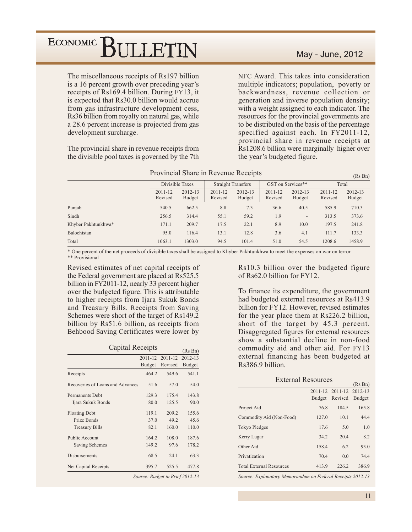The miscellaneous receipts of Rs197 billion is a 16 percent growth over preceding year's receipts of Rs169.4 billion. During FY13, it is expected that Rs30.0 billion would accrue from gas infrastructure development cess, Rs36 billion from royalty on natural gas, while a 28.6 percent increase is projected from gas development surcharge.

The provincial share in revenue receipts from the divisible pool taxes is governed by the 7th

### May - June, 2012

 $n \times n$ 

NFC Award. This takes into consideration multiple indicators; population, poverty or backwardness, revenue collection or generation and inverse population density; with a weight assigned to each indicator. The resources for the provincial governments are to be distributed on the basis of the percentage specified against each. In FY2011-12, provincial share in revenue receipts at Rs1208.6 billion were marginally higher over the year's budgeted figure.

|                     |                    |                          |                    |                                                |                        |                          |                    | (IS DII)                 |
|---------------------|--------------------|--------------------------|--------------------|------------------------------------------------|------------------------|--------------------------|--------------------|--------------------------|
|                     |                    | Divisible Taxes          |                    | GST on Services**<br><b>Straight Transfers</b> |                        |                          | Total              |                          |
|                     | 2011-12<br>Revised | 2012-13<br><b>Budget</b> | 2011-12<br>Revised | 2012-13<br>Budget                              | $2011 - 12$<br>Revised | 2012-13<br><b>Budget</b> | 2011-12<br>Revised | 2012-13<br><b>Budget</b> |
| Punjab              | 540.5              | 662.5                    | 8.8                | 7.3                                            | 36.6                   | 40.5                     | 585.9              | 710.3                    |
| Sindh               | 256.5              | 314.4                    | 55.1               | 59.2                                           | 1.9                    | $\overline{\phantom{0}}$ | 313.5              | 373.6                    |
| Khyber Pakhtunkhwa* | 171.1              | 209.7                    | 17.5               | 22.1                                           | 8.9                    | 10.0                     | 197.5              | 241.8                    |
| Balochistan         | 95.0               | 116.4                    | 13.1               | 12.8                                           | 3.6                    | 4.1                      | 111.7              | 133.3                    |
| Total               | 1063.1             | 1303.0                   | 94.5               | 101.4                                          | 51.0                   | 54.5                     | 1208.6             | 1458.9                   |

Provincial Share in Revenue Receipts

\* One percent of the net proceeds of divisible taxes shall be assigned to Khyber Pakhtunkhwa to meet the expenses on war on terror. \*\* Provisional

Revised estimates of net capital receipts of the Federal government are placed at Rs525.5 billion in FY2011-12, nearly 33 percent higher over the budgeted figure. This is attributable to higher receipts from Ijara Sukuk Bonds and Treasury Bills. Receipts from Saving Schemes were short of the target of Rs149.2 billion by Rs51.6 billion, as receipts from Behbood Saving Certificates were lower by

| <b>Capital Receipts</b>          | (Rs Bn)       |                                 |               |
|----------------------------------|---------------|---------------------------------|---------------|
|                                  | 2011-12       | $2011 - 12$                     | 2012-13       |
|                                  | <b>Budget</b> | Revised                         | <b>Budget</b> |
| Receipts                         | 464.2         | 549.6                           | 541.1         |
| Recoveries of Loans and Advances | 51.6          | 57.0                            | 54.0          |
| <b>Permanents Debt</b>           | 129.3         | 175.4                           | 143.8         |
| Ijara Sukuk Bonds                | 80.0          | 125.5                           | 90.0          |
| <b>Floating Debt</b>             | 119.1         | 209.2                           | 155.6         |
| Prize Bonds                      | 37.0          | 49.2                            | 45.6          |
| <b>Treasury Bills</b>            | 82.1          | 160.0                           | 110.0         |
| <b>Public Account</b>            | 164.2         | 108.0                           | 187.6         |
| Saving Schemes                   | 149.2         | 97.6                            | 178.2         |
| <b>Disbursements</b>             | 68.5          | 24.1                            | 63.3          |
| Net Capital Receipts             | 395.7         | 525.5                           | 477.8         |
|                                  |               | Source: Budget in Brief 2012-13 |               |

Rs10.3 billion over the budgeted figure of Rs62.0 billion for FY12.

To finance its expenditure, the government had budgeted external resources at Rs413.9 billion for FY12. However, revised estimates for the year place them at Rs226.2 billion, short of the target by 45.3 percent. Disaggregated figures for external resources show a substantial decline in non-food commodity aid and other aid. For FY13 external financing has been budgeted at Rs386.9 billion.

| <b>External Resources</b>       |               |                         |               |  |  |  |
|---------------------------------|---------------|-------------------------|---------------|--|--|--|
|                                 | (Rs Bn)       |                         |               |  |  |  |
|                                 |               | 2011-12 2011-12 2012-13 |               |  |  |  |
|                                 | <b>Budget</b> | Revised                 | <b>Budget</b> |  |  |  |
| Project Aid                     | 76.8          | 184.5                   | 165.8         |  |  |  |
| Commodity Aid (Non-Food)        | 127.0         | 10.1                    | 44.4          |  |  |  |
| <b>Tokyo Pledges</b>            | 17.6          | 5.0                     | 1.0           |  |  |  |
| Kerry Lugar                     | 34.2          | 20.4                    | 8.2           |  |  |  |
| Other Aid                       | 158.4         | 6.2                     | 93.0          |  |  |  |
| Privatization                   | 70.4          | 0.0                     | 74.4          |  |  |  |
| <b>Total External Resources</b> | 413.9         | 226.2                   | 386.9         |  |  |  |
|                                 |               |                         |               |  |  |  |

Source: Explanatory Memorandum on Federal Receipts 2012-13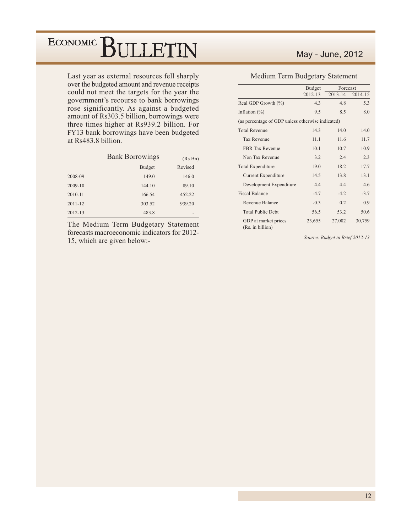Last year as external resources fell sharply over the budgeted amount and revenue receipts could not meet the targets for the year the government's recourse to bank borrowings rose significantly. As against a budgeted amount of Rs303.5 billion, borrowings were three times higher at Rs939.2 billion. For FY13 bank borrowings have been budgeted at Rs483.8 billion.

|             | <b>Bank Borrowings</b> | (Rs Bn) |
|-------------|------------------------|---------|
|             | <b>Budget</b>          | Revised |
| 2008-09     | 149.0                  | 146.0   |
| 2009-10     | 144.10                 | 89.10   |
| 2010-11     | 166.54                 | 452.22  |
| $2011 - 12$ | 303.52                 | 939.20  |
| $2012 - 13$ | 483.8                  |         |

The Medium Term Budgetary Statement forecasts macroeconomic indicators for 2012-15, which are given below:-

### May - June, 2012

### Medium Term Budgetary Statement

|                                                   | <b>Budget</b> | Forecast    |         |
|---------------------------------------------------|---------------|-------------|---------|
|                                                   | $2012 - 13$   | $2013 - 14$ | 2014-15 |
| Real GDP Growth $(\%)$                            | 4.3           | 48          | 5.3     |
| Inflation $(\%)$                                  | 9.5           | 8.5         | 8.0     |
| (as percentage of GDP unless otherwise indicated) |               |             |         |
| <b>Total Revenue</b>                              | 14.3          | 140         | 14.0    |
| Tax Revenue                                       | 11.1          | 11.6        | 11.7    |
| <b>FBR Tax Revenue</b>                            | 10.1          | 10.7        | 10.9    |
| Non Tax Revenue                                   | 3.2           | 2.4         | 2.3     |
| Total Expenditure                                 | 19.0          | 18.2        | 17.7    |
| Current Expenditure                               | 14.5          | 13.8        | 13.1    |
| Development Expenditure                           | 44            | 44          | 46      |
| <b>Fiscal Balance</b>                             | $-4.7$        | $-42$       | $-3.7$  |
| Revenue Balance                                   | $-0.3$        | 0.2         | 0.9     |
| <b>Total Public Debt</b>                          | 56.5          | 53.2        | 50.6    |
| GDP at market prices<br>(Rs. in billion)          | 23,655        | 27,002      | 30,759  |

Source: Budget in Brief 2012-13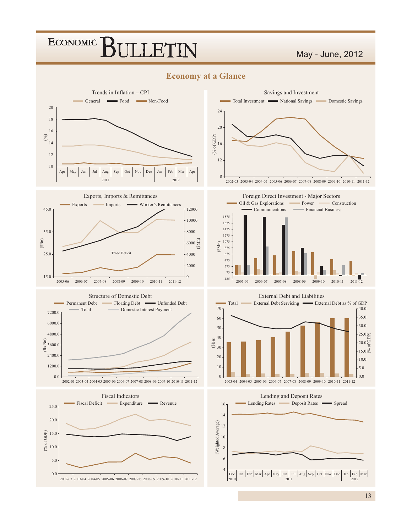### May - June, 2012

### **Economy at a Glance**















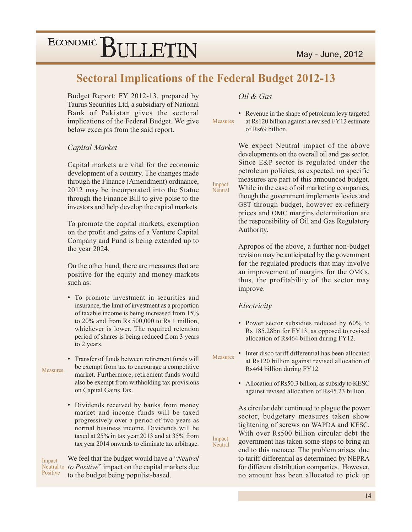### **Sectoral Implications of the Federal Budget 2012-13**

Impact

Neutral

Impact

Neutral

Budget Report: FY 2012-13, prepared by Taurus Securities Ltd, a subsidiary of National Bank of Pakistan gives the sectoral implications of the Federal Budget. We give below excerpts from the said report.

### Capital Market

Capital markets are vital for the economic development of a country. The changes made through the Finance (Amendment) ordinance, 2012 may be incorporated into the Statue through the Finance Bill to give poise to the investors and help develop the capital markets.

To promote the capital markets, exemption on the profit and gains of a Venture Capital Company and Fund is being extended up to the year 2024.

On the other hand, there are measures that are positive for the equity and money markets such as:

• To promote investment in securities and insurance, the limit of investment as a proportion of taxable income is being increased from 15% to 20% and from Rs 500,000 to Rs 1 million, whichever is lower. The required retention period of shares is being reduced from 3 years to 2 years.

Measures

• Transfer of funds between retirement funds will be exempt from tax to encourage a competitive market. Furthermore, retirement funds would also be exempt from withholding tax provisions on Capital Gains Tax.

• Dividends received by banks from money market and income funds will be taxed progressively over a period of two years as normal business income. Dividends will be taxed at 25% in tax year 2013 and at 35% from tax year 2014 onwards to eliminate tax arbitrage.

We feel that the budget would have a "*Neutral*" Impact Neutral to *to Positive*" impact on the capital markets due Positive to the budget being populist-based.

### Oil & Gas

• Revenue in the shape of petroleum levy targeted at Rs120 billion against a revised FY12 estimate Measures of Rs69 billion.

> We expect Neutral impact of the above developments on the overall oil and gas sector. Since E&P sector is regulated under the petroleum policies, as expected, no specific measures are part of this announced budget. While in the case of oil marketing companies, though the government implements levies and GST through budget, however ex-refinery prices and OMC margins determination are the responsibility of Oil and Gas Regulatory Authority.

Apropos of the above, a further non-budget revision may be anticipated by the government for the regulated products that may involve an improvement of margins for the OMCs, thus, the profitability of the sector may improve.

#### Electricity

- Power sector subsidies reduced by 60% to Rs 185.28bn for FY13, as opposed to revised allocation of Rs464 billion during FY12.
- Inter disco tariff differential has been allocated **Measures** at Rs120 billion against revised allocation of Rs464 billion during FY12.
	- Allocation of Rs50.3 billion, as subsidy to KESC against revised allocation of Rs45.23 billion.

As circular debt continued to plague the power sector, budgetary measures taken show tightening of screws on WAPDA and KESC. With over Rs500 billion circular debt the government has taken some steps to bring an end to this menace. The problem arises due to tariff differential as determined by NEPRA for different distribution companies. However, no amount has been allocated to pick up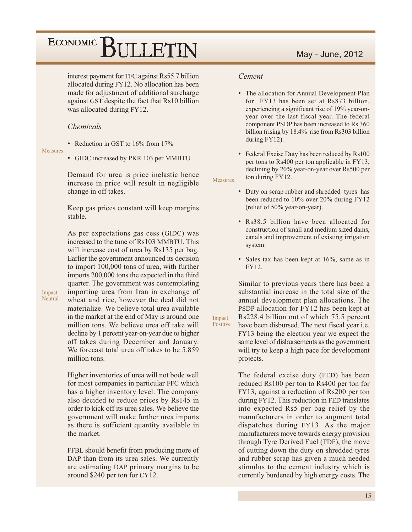interest payment for TFC against Rs55.7 billion allocated during FY12. No allocation has been made for adjustment of additional surcharge against GST despite the fact that Rs10 billion was allocated during FY12.

### *Chemicals*

• Reduction in GST to 16% from 17%

Measures

• GIDC increased by PKR 103 per MMBTU

Demand for urea is price inelastic hence increase in price will result in negligible change in off takes.

Keep gas prices constant will keep margins stable.

As per expectations gas cess (GIDC) was increased to the tune of Rs103 MMBTU. This will increase cost of urea by Rs135 per bag. Earlier the government announced its decision to import 100,000 tons of urea, with further imports 200,000 tons the expected in the third quarter. The government was contemplating importing urea from Iran in exchange of wheat and rice, however the deal did not materialize. We believe total urea available in the market at the end of May is around one million tons. We believe urea off take will decline by 1 percent year-on-year due to higher off takes during December and January. We forecast total urea off takes to be 5.859 million tons

Higher inventories of urea will not bode well for most companies in particular FFC which has a higher inventory level. The company also decided to reduce prices by Rs145 in order to kick off its urea sales. We believe the government will make further urea imports as there is sufficient quantity available in the market.

FFBL should benefit from producing more of DAP than from its urea sales. We currently are estimating DAP primary margins to be around \$240 per ton for CY12.

### Cement

- The allocation for Annual Development Plan for FY13 has been set at Rs873 billion. experiencing a significant rise of 19% year-onyear over the last fiscal year. The federal component PSDP has been increased to Rs 360 billion (rising by 18.4% rise from Rs303 billion during FY12).
- Federal Excise Duty has been reduced by Rs100 per tons to Rs400 per ton applicable in FY13, declining by 20% year-on-year over Rs500 per ton during FY12.

Measures

Impact

- Duty on scrap rubber and shredded tyres has been reduced to 10% over 20% during FY12 (relief of 50% year-on-year).
- Rs38.5 billion have been allocated for construction of small and medium sized dams. canals and improvement of existing irrigation system.
- Sales tax has been kept at 16%, same as in FY12.

Similar to previous years there has been a substantial increase in the total size of the annual development plan allocations. The PSDP allocation for FY12 has been kept at Rs228.4 billion out of which 75.5 percent Positive have been disbursed. The next fiscal year i.e. FY13 being the election year we expect the same level of disbursements as the government will try to keep a high pace for development projects.

> The federal excise duty (FED) has been reduced Rs100 per ton to Rs400 per ton for FY13, against a reduction of Rs200 per ton during FY12. This reduction in FED translates into expected Rs5 per bag relief by the manufacturers in order to augment total dispatches during FY13. As the major manufacturers move towards energy provision through Tyre Derived Fuel (TDF), the move of cutting down the duty on shredded tyres and rubber scrap has given a much needed stimulus to the cement industry which is currently burdened by high energy costs. The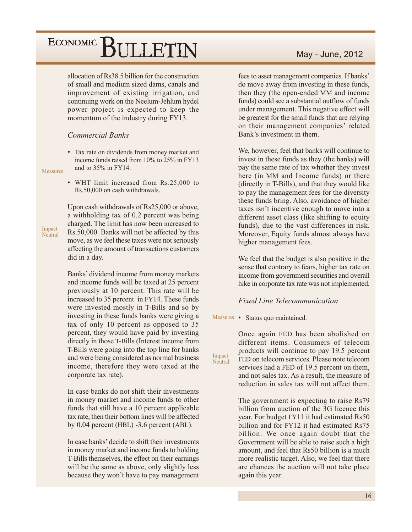allocation of Rs38.5 billion for the construction of small and medium sized dams, canals and improvement of existing irrigation, and continuing work on the Neelum-Jehlum hydel power project is expected to keep the momentum of the industry during FY13.

### **Commercial Banks**

• Tax rate on dividends from money market and income funds raised from 10% to 25% in FY13 and to  $35\%$  in FY14.

Measures

Impact

Neutral

• WHT limit increased from Rs.25,000 to Rs.50,000 on cash withdrawals.

Upon cash withdrawals of Rs25,000 or above, a withholding tax of 0.2 percent was being charged. The limit has now been increased to Rs.50,000. Banks will not be affected by this move, as we feel these taxes were not seriously affecting the amount of transactions customers did in a day.

Banks' dividend income from money markets and income funds will be taxed at 25 percent previously at 10 percent. This rate will be increased to 35 percent in FY14. These funds were invested mostly in T-Bills and so by investing in these funds banks were giving a tax of only 10 percent as opposed to 35 percent, they would have paid by investing directly in those T-Bills (Interest income from T-Bills were going into the top line for banks and were being considered as normal business income, therefore they were taxed at the corporate tax rate).

In case banks do not shift their investments in money market and income funds to other funds that still have a 10 percent applicable tax rate, then their bottom lines will be affected by  $0.04$  percent (HBL)  $-3.6$  percent (ABL).

In case banks' decide to shift their investments in money market and income funds to holding T-Bills themselves, the effect on their earnings will be the same as above, only slightly less because they won't have to pay management

### May - June, 2012

fees to asset management companies. If banks' do move away from investing in these funds, then they (the open-ended MM and income funds) could see a substantial outflow of funds under management. This negative effect will be greatest for the small funds that are relying on their management companies' related Bank's investment in them.

We, however, feel that banks will continue to invest in these funds as they (the banks) will pay the same rate of tax whether they invest here (in MM and Income funds) or there (directly in T-Bills), and that they would like to pay the management fees for the diversity these funds bring. Also, avoidance of higher taxes isn't incentive enough to move into a different asset class (like shifting to equity funds), due to the vast differences in risk. Moreover, Equity funds almost always have higher management fees.

We feel that the budget is also positive in the sense that contrary to fears, higher tax rate on income from government securities and overall hike in corporate tax rate was not implemented.

### **Fixed Line Telecommunication**

Measures • Status quo maintained.

Impact

Neutral

Once again FED has been abolished on different items. Consumers of telecom products will continue to pay 19.5 percent FED on telecom services. Please note telecom services had a FED of 19.5 percent on them, and not sales tax. As a result, the measure of reduction in sales tax will not affect them.

The government is expecting to raise Rs79 billion from auction of the 3G licence this year. For budget FY11 it had estimated Rs50 billion and for FY12 it had estimated Rs75 billion. We once again doubt that the Government will be able to raise such a high amount, and feel that Rs50 billion is a much more realistic target. Also, we feel that there are chances the auction will not take place again this year.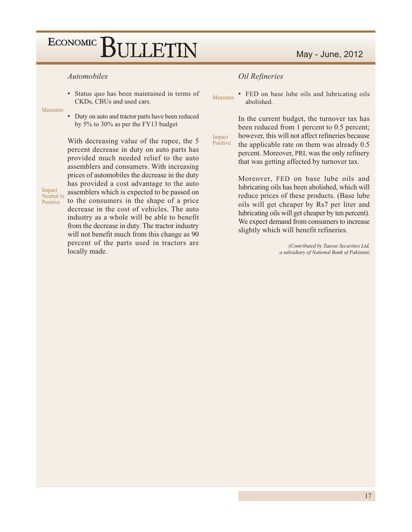#### *Automobiles*

• Status quo has been maintained in terms of CKDs, CBUs and used cars.

Measures

• Duty on auto and tractor parts have been reduced by 5% to 30% as per the FY13 budget

Impact Neutral to Positive

With decreasing value of the rupee, the 5 percent decrease in duty on auto parts has provided much needed relief to the auto assemblers and consumers. With increasing prices of automobiles the decrease in the duty has provided a cost advantage to the auto assemblers which is expected to be passed on to the consumers in the shape of a price decrease in the cost of vehicles. The auto industry as a whole will be able to benefit from the decrease in duty. The tractor industry will not benefit much from this change as 90 percent of the parts used in tractors are locally made.

### Oil Refineries

Impact

• FED on base lube oils and lubricating oils Measures abolished.

In the current budget, the turnover tax has been reduced from 1 percent to 0.5 percent; however, this will not affect refineries because Positive the applicable rate on them was already 0.5 percent. Moreover, PRL was the only refinery that was getting affected by turnover tax.

> Moreover, FED on base lube oils and lubricating oils has been abolished, which will reduce prices of these products. (Base lube oils will get cheaper by Rs7 per liter and lubricating oils will get cheaper by ten percent). We expect demand from consumers to increase slightly which will benefit refineries.

> > (Contributed by Taurus Securities Ltd, a subsidiary of National Bank of Pakistan)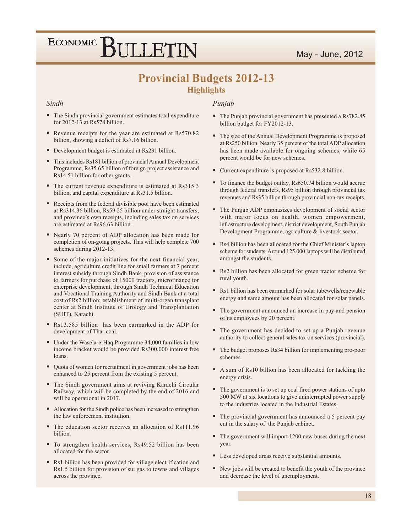### May - June, 2012

# ECONOMIC BULLETIN

### **Provincial Budgets 2012-13 Highlights**

#### Sindh

- The Sindh provincial government estimates total expenditure for 2012-13 at Rs578 billion.
- Revenue receipts for the year are estimated at Rs570.82 billion, showing a deficit of Rs7.16 billion.
- Development budget is estimated at Rs231 billion.
- This includes Rs181 billion of provincial Annual Development Programme, Rs35.65 billion of foreign project assistance and Rs14.51 billion for other grants.
- The current revenue expenditure is estimated at Rs315.3 billion, and capital expenditure at Rs31.5 billion.
- Receipts from the federal divisible pool have been estimated at Rs314.36 billion, Rs59.25 billion under straight transfers, and province's own receipts, including sales tax on services are estimated at Rs96.63 billion.
- Nearly 70 percent of ADP allocation has been made for completion of on-going projects. This will help complete 700 schemes during 2012-13.
- Some of the major initiatives for the next financial year, include, agriculture credit line for small farmers at 7 percent interest subsidy through Sindh Bank, provision of assistance to farmers for purchase of 15000 tractors, microfinance for enterprise development, through Sindh Technical Education and Vocational Training Authority and Sindh Bank at a total cost of Rs2 billion; establishment of multi-organ transplant center at Sindh Institute of Urology and Transplantation (SUIT), Karachi.
- Rs13.585 billion has been earmarked in the ADP for development of Thar coal.
- Under the Wasela-e-Haq Programme 34,000 families in low income bracket would be provided Rs300,000 interest free loans.
- Quota of women for recruitment in government jobs has been enhanced to 25 percent from the existing 5 percent.
- The Sindh government aims at reviving Karachi Circular Railway, which will be completed by the end of 2016 and will be operational in 2017.
- Allocation for the Sindh police has been increased to strengthen the law enforcement institution.
- The education sector receives an allocation of Rs111.96 billion.
- To strengthen health services, Rs49.52 billion has been allocated for the sector.
- Rs1 billion has been provided for village electrification and Rs1.5 billion for provision of sui gas to towns and villages across the province.

### Punjab

- The Punjab provincial government has presented a Rs782.85 billion budget for FY2012-13.
- The size of the Annual Development Programme is proposed at Rs250 billion. Nearly 35 percent of the total ADP allocation has been made available for ongoing schemes, while 65 percent would be for new schemes.
- Current expenditure is proposed at Rs532.8 billion.
- To finance the budget outlay, Rs650.74 billion would accrue through federal transfers, Rs95 billion through provincial tax revenues and Rs35 billion through provincial non-tax receipts.
- The Punjab ADP emphasizes development of social sector with major focus on health, women empowerment, infrastructure development, district development, South Punjab Development Programme, agriculture & livestock sector.
- Rs4 billion has been allocated for the Chief Minister's laptop scheme for students. Around 125,000 laptops will be distributed amongst the students.
- Rs2 billion has been allocated for green tractor scheme for rural youth.
- Rs1 billion has been earmarked for solar tubewells/renewable energy and same amount has been allocated for solar panels.
- The government announced an increase in pay and pension of its employees by 20 percent.
- The government has decided to set up a Punjab revenue authority to collect general sales tax on services (provincial).
- The budget proposes Rs34 billion for implementing pro-poor schemes
- A sum of Rs10 billion has been allocated for tackling the energy crisis.
- The government is to set up coal fired power stations of upto 500 MW at six locations to give uninterrupted power supply to the industries located in the Industrial Estates.
- The provincial government has announced a 5 percent pay cut in the salary of the Punjab cabinet.
- $\blacksquare$  The government will import 1200 new buses during the next year.
- Less developed areas receive substantial amounts.
- Rew jobs will be created to benefit the youth of the province and decrease the level of unemployment.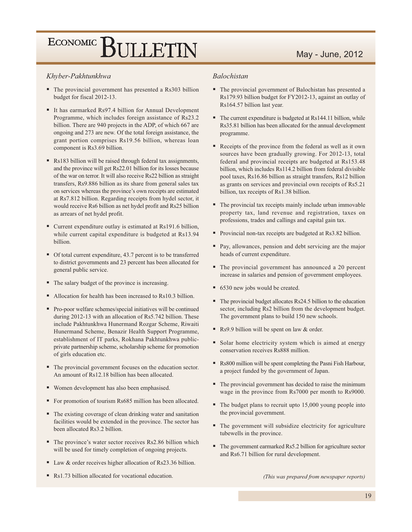#### Khyber-Pakhtunkhwa

- The provincial government has presented a Rs303 billion budget for fiscal 2012-13.
- It has earmarked Rs97.4 billion for Annual Development Programme, which includes foreign assistance of Rs23.2 billion. There are 940 projects in the ADP, of which 667 are ongoing and 273 are new. Of the total foreign assistance, the grant portion comprises Rs19.56 billion, whereas loan component is Rs3.69 billion.
- Rs183 billion will be raised through federal tax assignments, and the province will get Rs22.01 billion for its losses because of the war on terror. It will also receive Rs22 billion as straight transfers, Rs9.886 billion as its share from general sales tax on services whereas the province's own receipts are estimated at Rs7.812 billion. Regarding receipts from hydel sector, it would receive Rs6 billion as net hydel profit and Rs25 billion as arrears of net hydel profit.
- Current expenditure outlay is estimated at Rs191.6 billion, while current capital expenditure is budgeted at Rs13.94 billion.
- Of total current expenditure, 43.7 percent is to be transferred to district governments and 23 percent has been allocated for general public service.
- The salary budget of the province is increasing.
- Allocation for health has been increased to Rs10.3 billion.
- Pro-poor welfare schemes/special initiatives will be continued during 2012-13 with an allocation of Rs5.742 billion. These include Pakhtunkhwa Hunermand Rozgar Scheme, Riwaiti Hunermand Scheme, Benazir Health Support Programme, establishment of IT parks, Rokhana Pakhtunkhwa publicprivate partnership scheme, scholarship scheme for promotion of girls education etc.
- The provincial government focuses on the education sector. An amount of Rs12.18 billion has been allocated.
- Women development has also been emphasised.
- For promotion of tourism Rs685 million has been allocated.
- The existing coverage of clean drinking water and sanitation facilities would be extended in the province. The sector has been allocated Rs3.2 billion.
- The province's water sector receives Rs2.86 billion which will be used for timely completion of ongoing projects.
- Law & order receives higher allocation of Rs23.36 billion.
- Rs1.73 billion allocated for vocational education.

#### **Balochistan**

- The provincial government of Balochistan has presented a Rs179.93 billion budget for FY2012-13, against an outlay of Rs164.57 billion last year.
- The current expenditure is budgeted at Rs144.11 billion, while Rs35.81 billion has been allocated for the annual development programme.
- Receipts of the province from the federal as well as it own sources have been gradually growing. For 2012-13, total federal and provincial receipts are budgeted at Rs153.48 billion, which includes Rs114.2 billion from federal divisible pool taxes, Rs16.86 billion as straight transfers, Rs12 billion as grants on services and provincial own receipts of Rs5.21 billion, tax receipts of Rs1.38 billion.
- The provincial tax receipts mainly include urban immovable property tax, land revenue and registration, taxes on professions, trades and callings and capital gain tax.
- Provincial non-tax receipts are budgeted at Rs3.82 billion.
- Pay, allowances, pension and debt servicing are the major heads of current expenditure.
- The provincial government has announced a 20 percent increase in salaries and pension of government employees.
- 6530 new jobs would be created.
- $\blacksquare$  The provincial budget allocates Rs24.5 billion to the education sector, including Rs2 billion from the development budget. The government plans to build 150 new schools.
- Rs9.9 billion will be spent on law & order.
- Solar home electricity system which is aimed at energy conservation receives Rs888 million.
- Rs800 million will be spent completing the Pasni Fish Harbour, a project funded by the government of Japan.
- The provincial government has decided to raise the minimum wage in the province from Rs7000 per month to Rs9000.
- The budget plans to recruit upto 15,000 young people into the provincial government.
- The government will subsidize electricity for agriculture tubewells in the province.
- $\blacksquare$  The government earmarked Rs5.2 billion for agriculture sector and Rs6.71 billion for rural development.

(This was prepared from newspaper reports)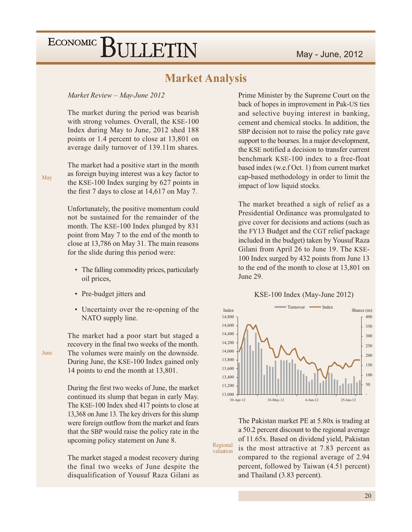### **Market Analysis**

#### Market Review - May-June 2012

The market during the period was bearish with strong volumes. Overall, the KSE-100 Index during May to June, 2012 shed 188 points or 1.4 percent to close at 13,801 on average daily turnover of 139.11m shares.

The market had a positive start in the month as foreign buying interest was a key factor to the KSE-100 Index surging by 627 points in the first 7 days to close at  $14,617$  on May 7.

Unfortunately, the positive momentum could not be sustained for the remainder of the month. The KSE-100 Index plunged by 831 point from May 7 to the end of the month to close at 13,786 on May 31. The main reasons for the slide during this period were:

- The falling commodity prices, particularly oil prices,
- Pre-budget jitters and
- Uncertainty over the re-opening of the NATO supply line.

The market had a poor start but staged a recovery in the final two weeks of the month. The volumes were mainly on the downside. During June, the KSE-100 Index gained only 14 points to end the month at 13,801.

During the first two weeks of June, the market continued its slump that began in early May. The KSE-100 Index shed 417 points to close at 13,368 on June 13. The key drivers for this slump were foreign outflow from the market and fears that the SBP would raise the policy rate in the upcoming policy statement on June 8.

The market staged a modest recovery during the final two weeks of June despite the disqualification of Yousuf Raza Gilani as Prime Minister by the Supreme Court on the back of hopes in improvement in Pak-US ties and selective buying interest in banking, cement and chemical stocks. In addition, the SBP decision not to raise the policy rate gave support to the bourses. In a major development, the KSE notified a decision to transfer current benchmark KSE-100 index to a free-float based index (w.e.f Oct. 1) from current market cap-based methodology in order to limit the impact of low liquid stocks.

The market breathed a sigh of relief as a Presidential Ordinance was promulgated to give cover for decisions and actions (such as the FY13 Budget and the CGT relief package included in the budget) taken by Yousuf Raza Gilani from April 26 to June 19. The KSE-100 Index surged by 432 points from June 13 to the end of the month to close at 13,801 on June 29.





The Pakistan market PE at 5.80x is trading at a 50.2 percent discount to the regional average of 11.65x. Based on dividend yield, Pakistan is the most attractive at 7.83 percent as compared to the regional average of 2.94 percent, followed by Taiwan (4.51 percent) and Thailand (3.83 percent).

Regional

valuation

June

May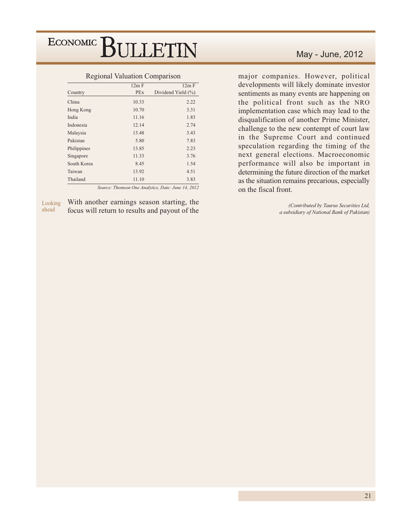| --- <i>-</i> -- |            |                    |
|-----------------|------------|--------------------|
|                 | 12m F      | 12m F              |
| Country         | <b>PEx</b> | Dividend Yield (%) |
| China           | 10.33      | 2.22               |
| Hong Kong       | 10.70      | 3.31               |
| India           | 11.16      | 1.83               |
| Indonesia       | 12.14      | 2.74               |
| Malaysia        | 13.48      | 3.43               |
| Pakistan        | 5.80       | 7.83               |
| Philippines     | 13.85      | 2.23               |
| Singapore       | 11.33      | 3.76               |
| South Korea     | 8.45       | 1.54               |
| Taiwan          | 13.92      | 4.51               |
| Thailand        | 11.10      | 3.83               |
|                 |            |                    |

#### Regional Valuation Comparison

Source: Thomson One Analytics, Date: June 14, 2012

With another earnings season starting, the Looking ahead focus will return to results and payout of the

### May - June, 2012

major companies. However, political developments will likely dominate investor sentiments as many events are happening on the political front such as the NRO implementation case which may lead to the disqualification of another Prime Minister, challenge to the new contempt of court law in the Supreme Court and continued speculation regarding the timing of the next general elections. Macroeconomic performance will also be important in determining the future direction of the market as the situation remains precarious, especially on the fiscal front.

> (Contributed by Taurus Securities Ltd, a subsidiary of National Bank of Pakistan)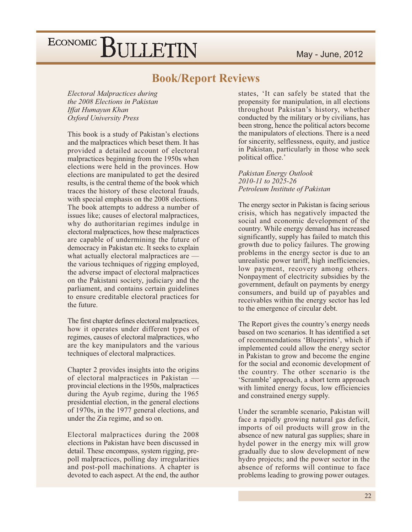### **Book/Report Reviews**

Electoral Malpractices during the 2008 Elections in Pakistan **Iffat Humayun Khan Oxford University Press** 

This book is a study of Pakistan's elections and the malpractices which beset them. It has provided a detailed account of electoral malpractices beginning from the 1950s when elections were held in the provinces. How elections are manipulated to get the desired results, is the central theme of the book which traces the history of these electoral frauds, with special emphasis on the 2008 elections. The book attempts to address a number of issues like; causes of electoral malpractices, why do authoritarian regimes indulge in electoral malpractices, how these malpractices are capable of undermining the future of democracy in Pakistan etc. It seeks to explain what actually electoral malpractices are the various techniques of rigging employed, the adverse impact of electoral malpractices on the Pakistani society, judiciary and the parliament, and contains certain guidelines to ensure creditable electoral practices for the future.

The first chapter defines electoral malpractices, how it operates under different types of regimes, causes of electoral malpractices, who are the key manipulators and the various techniques of electoral malpractices.

Chapter 2 provides insights into the origins of electoral malpractices in Pakistan provincial elections in the 1950s, malpractices during the Ayub regime, during the 1965 presidential election, in the general elections of 1970s, in the 1977 general elections, and under the Zia regime, and so on.

Electoral malpractices during the 2008 elections in Pakistan have been discussed in detail. These encompass, system rigging, prepoll malpractices, polling day irregularities and post-poll machinations. A chapter is devoted to each aspect. At the end, the author states, 'It can safely be stated that the propensity for manipulation, in all elections throughout Pakistan's history, whether conducted by the military or by civilians, has been strong, hence the political actors become the manipulators of elections. There is a need for sincerity, selflessness, equity, and justice in Pakistan, particularly in those who seek political office.'

Pakistan Energy Outlook 2010-11 to 2025-26 Petroleum Institute of Pakistan

The energy sector in Pakistan is facing serious crisis, which has negatively impacted the social and economic development of the country. While energy demand has increased significantly, supply has failed to match this growth due to policy failures. The growing problems in the energy sector is due to an unrealistic power tariff, high inefficiencies, low payment, recovery among others. Nonpayment of electricity subsidies by the government, default on payments by energy consumers, and build up of payables and receivables within the energy sector has led to the emergence of circular debt.

The Report gives the country's energy needs based on two scenarios. It has identified a set of recommendations 'Blueprints', which if implemented could allow the energy sector in Pakistan to grow and become the engine for the social and economic development of the country. The other scenario is the 'Scramble' approach, a short term approach with limited energy focus, low efficiencies and constrained energy supply.

Under the scramble scenario, Pakistan will face a rapidly growing natural gas deficit, imports of oil products will grow in the absence of new natural gas supplies; share in hydel power in the energy mix will grow gradually due to slow development of new hydro projects; and the power sector in the absence of reforms will continue to face problems leading to growing power outages.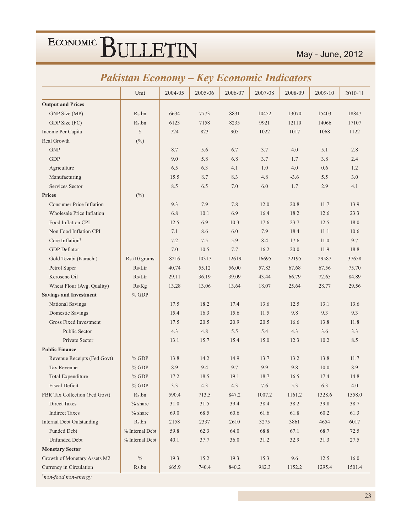|  | <b>Pakistan Economy – Key Economic Indicators</b> |  |  |  |
|--|---------------------------------------------------|--|--|--|
|--|---------------------------------------------------|--|--|--|

|                                  | Unit               | 2004-05 | 2005-06 | 2006-07  | 2007-08 | 2008-09 | 2009-10 | 2010-11 |
|----------------------------------|--------------------|---------|---------|----------|---------|---------|---------|---------|
| <b>Output and Prices</b>         |                    |         |         |          |         |         |         |         |
| GNP Size (MP)                    | Rs.bn              | 6634    | 7773    | 8831     | 10452   | 13070   | 15403   | 18847   |
| GDP Size (FC)                    | Rs.bn              | 6123    | 7158    | 8235     | 9921    | 12110   | 14066   | 17107   |
| Income Per Capita                | $\mathbb{S}$       | 724     | 823     | 905      | 1022    | 1017    | 1068    | 1122    |
| Real Growth                      | $(^{0}_{0})$       |         |         |          |         |         |         |         |
| <b>GNP</b>                       |                    | 8.7     | 5.6     | 6.7      | 3.7     | 4.0     | 5.1     | 2.8     |
| <b>GDP</b>                       |                    | 9.0     | 5.8     | 6.8      | 3.7     | 1.7     | 3.8     | 2.4     |
| Agriculture                      |                    | 6.5     | 6.3     | 4.1      | 1.0     | 4.0     | 0.6     | 1.2     |
| Manufacturing                    |                    | 15.5    | 8.7     | 8.3      | 4.8     | $-3.6$  | 5.5     | 3.0     |
| Services Sector                  |                    | 8.5     | 6.5     | 7.0      | 6.0     | 1.7     | 2.9     | 4.1     |
| <b>Prices</b>                    | $(\%)$             |         |         |          |         |         |         |         |
| <b>Consumer Price Inflation</b>  |                    | 9.3     | 7.9     | 7.8      | 12.0    | 20.8    | 11.7    | 13.9    |
| <b>Wholesale Price Inflation</b> |                    | 6.8     | 10.1    | 6.9      | 16.4    | 18.2    | 12.6    | 23.3    |
| Food Inflation CPI               |                    | 12.5    | 6.9     | 10.3     | 17.6    | 23.7    | 12.5    | 18.0    |
| Non Food Inflation CPI           |                    | 7.1     | 8.6     | 6.0      | 7.9     | 18.4    | 11.1    | 10.6    |
| Core Inflation <sup>†</sup>      |                    | 7.2     | 7.5     | 5.9      | 8.4     | 17.6    | 11.0    | 9.7     |
| <b>GDP</b> Deflator              |                    | 7.0     | 10.5    | 7.7      | 16.2    | 20.0    | 11.9    | 18.8    |
| Gold Tezabi (Karachi)            | $Rs./10$ grams     | 8216    | 10317   | 12619    | 16695   | 22195   | 29587   | 37658   |
| Petrol Super                     | Rs/Ltr             | 40.74   | 55.12   | 56.00    | 57.83   | 67.68   | 67.56   | 75.70   |
| Kerosene Oil                     | Rs/Ltr             | 29.11   | 36.19   | 39.09    | 43.44   | 66.79   | 72.65   | 84.89   |
| Wheat Flour (Avg. Quality)       | Rs/Kg              | 13.28   | 13.06   | 13.64    | 18.07   | 25.64   | 28.77   | 29.56   |
| <b>Savings and Investment</b>    | $%$ GDP            |         |         |          |         |         |         |         |
| National Savings                 |                    | 17.5    | 18.2    | 17.4     | 13.6    | 12.5    | 13.1    | 13.6    |
| Domestic Savings                 |                    | 15.4    | 16.3    | 15.6     | 11.5    | 9.8     | 9.3     | 9.3     |
| Gross Fixed Investment           |                    | 17.5    | 20.5    | 20.9     | 20.5    | 16.6    | 13.8    | 11.8    |
| Public Sector                    |                    | 4.3     | 4.8     | 5.5      | 5.4     | 4.3     | 3.6     | 3.3     |
| Private Sector                   |                    | 13.1    | 15.7    | 15.4     | 15.0    | 12.3    | 10.2    | 8.5     |
| <b>Public Finance</b>            |                    |         |         |          |         |         |         |         |
| Revenue Receipts (Fed Govt)      | $%$ GDP            | 13.8    | 14.2    | 14.9     | 13.7    | 13.2    | 13.8    | 11.7    |
| Tax Revenue                      | $%$ GDP            | 8.9     | 9.4     | 9.7      | 9.9     | 9.8     | 10.0    | 8.9     |
| <b>Total Expenditure</b>         | $%$ GDP            | 17.2    | 18.5    | 19.1     | 18.7    | 16.5    | 17.4    | 14.8    |
| <b>Fiscal Deficit</b>            | $%$ GDP            | $3.3\,$ | 4.3     | 4.3      | 7.6     | 5.3     | 6.3     | 4.0     |
| FBR Tax Collection (Fed Govt)    | Rs.bn              | 590.4   | 713.5   | 847.2    | 1007.2  | 1161.2  | 1328.6  | 1558.0  |
| Direct Taxes                     | $%$ share          | 31.0    | 31.5    | 39.4     | 38.4    | 38.2    | 39.8    | 38.7    |
| <b>Indirect Taxes</b>            | $%$ share          | 69.0    | 68.5    | $60.6\,$ | 61.6    | 61.8    | 60.2    | 61.3    |
| <b>Internal Debt Outstanding</b> | Rs.bn              | 2158    | 2337    | 2610     | 3275    | 3861    | 4654    | 6017    |
| <b>Funded Debt</b>               | $\%$ Internal Debt | 59.8    | 62.3    | 64.0     | 68.8    | 67.1    | 68.7    | 72.5    |
| <b>Unfunded Debt</b>             | % Internal Debt    | 40.1    | 37.7    | 36.0     | 31.2    | 32.9    | 31.3    | 27.5    |
| <b>Monetary Sector</b>           |                    |         |         |          |         |         |         |         |
| Growth of Monetary Assets M2     | $\%$               | 19.3    | 15.2    | 19.3     | 15.3    | 9.6     | 12.5    | 16.0    |
| Currency in Circulation          | Rs.bn              | 665.9   | 740.4   | 840.2    | 982.3   | 1152.2  | 1295.4  | 1501.4  |

 $\dagger$ non-food non-energy